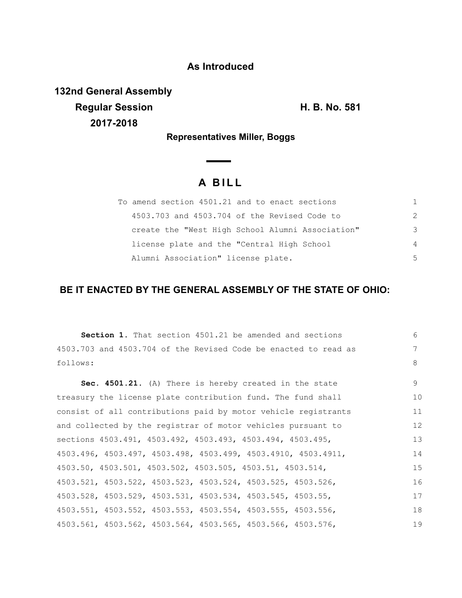## **As Introduced**

**132nd General Assembly Regular Session H. B. No. 581 2017-2018**

**Representatives Miller, Boggs**

# **A B I L L**

| To amend section 4501.21 and to enact sections   |               |
|--------------------------------------------------|---------------|
| 4503.703 and 4503.704 of the Revised Code to     | $\mathcal{P}$ |
| create the "West High School Alumni Association" | 3             |
| license plate and the "Central High School       | 4             |
| Alumni Association" license plate.               | 5             |

## **BE IT ENACTED BY THE GENERAL ASSEMBLY OF THE STATE OF OHIO:**

**Section 1.** That section 4501.21 be amended and sections 4503.703 and 4503.704 of the Revised Code be enacted to read as follows: **Sec. 4501.21.** (A) There is hereby created in the state treasury the license plate contribution fund. The fund shall consist of all contributions paid by motor vehicle registrants and collected by the registrar of motor vehicles pursuant to sections 4503.491, 4503.492, 4503.493, 4503.494, 4503.495, 4503.496, 4503.497, 4503.498, 4503.499, 4503.4910, 4503.4911, 4503.50, 4503.501, 4503.502, 4503.505, 4503.51, 4503.514, 4503.521, 4503.522, 4503.523, 4503.524, 4503.525, 4503.526, 4503.528, 4503.529, 4503.531, 4503.534, 4503.545, 4503.55, 4503.551, 4503.552, 4503.553, 4503.554, 4503.555, 4503.556, 4503.561, 4503.562, 4503.564, 4503.565, 4503.566, 4503.576, 6 7 8 9 10 11 12 13 14 15 16 17 18 19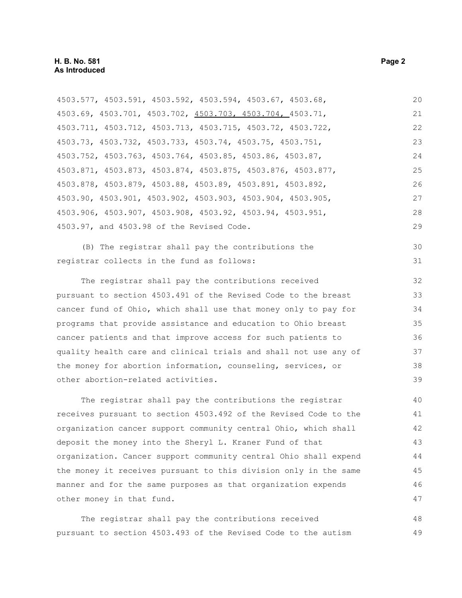| 4503.577, 4503.591, 4503.592, 4503.594, 4503.67, 4503.68,        | 20 |
|------------------------------------------------------------------|----|
| 4503.69, 4503.701, 4503.702, 4503.703, 4503.704, 4503.71,        | 21 |
| 4503.711, 4503.712, 4503.713, 4503.715, 4503.72, 4503.722,       | 22 |
| 4503.73, 4503.732, 4503.733, 4503.74, 4503.75, 4503.751,         | 23 |
| 4503.752, 4503.763, 4503.764, 4503.85, 4503.86, 4503.87,         | 24 |
| 4503.871, 4503.873, 4503.874, 4503.875, 4503.876, 4503.877,      | 25 |
| 4503.878, 4503.879, 4503.88, 4503.89, 4503.891, 4503.892,        | 26 |
| 4503.90, 4503.901, 4503.902, 4503.903, 4503.904, 4503.905,       | 27 |
| 4503.906, 4503.907, 4503.908, 4503.92, 4503.94, 4503.951,        | 28 |
| 4503.97, and 4503.98 of the Revised Code.                        | 29 |
| (B) The registrar shall pay the contributions the                | 30 |
| registrar collects in the fund as follows:                       | 31 |
| The registrar shall pay the contributions received               | 32 |
| pursuant to section 4503.491 of the Revised Code to the breast   | 33 |
| cancer fund of Ohio, which shall use that money only to pay for  | 34 |
| programs that provide assistance and education to Ohio breast    | 35 |
| cancer patients and that improve access for such patients to     | 36 |
| quality health care and clinical trials and shall not use any of | 37 |
| the money for abortion information, counseling, services, or     | 38 |
| other abortion-related activities.                               | 39 |
| The registrar shall pay the contributions the registrar          | 40 |
| receives pursuant to section 4503.492 of the Revised Code to the | 41 |
| organization cancer support community central Ohio, which shall  | 42 |
| deposit the money into the Sheryl L. Kraner Fund of that         | 43 |
| organization. Cancer support community central Ohio shall expend | 44 |
| the money it receives pursuant to this division only in the same | 45 |
| manner and for the same purposes as that organization expends    | 46 |
| other money in that fund.                                        | 47 |
| The registrar shall pay the contributions received               | 48 |

pursuant to section 4503.493 of the Revised Code to the autism 49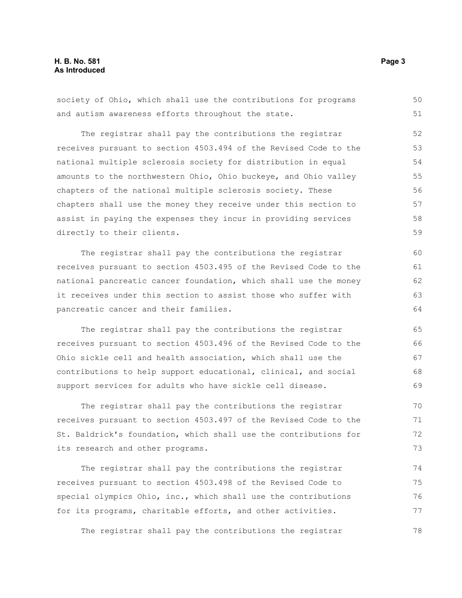society of Ohio, which shall use the contributions for programs and autism awareness efforts throughout the state. The registrar shall pay the contributions the registrar receives pursuant to section 4503.494 of the Revised Code to the national multiple sclerosis society for distribution in equal amounts to the northwestern Ohio, Ohio buckeye, and Ohio valley chapters of the national multiple sclerosis society. These chapters shall use the money they receive under this section to assist in paying the expenses they incur in providing services directly to their clients. The registrar shall pay the contributions the registrar receives pursuant to section 4503.495 of the Revised Code to the national pancreatic cancer foundation, which shall use the money it receives under this section to assist those who suffer with pancreatic cancer and their families. The registrar shall pay the contributions the registrar receives pursuant to section 4503.496 of the Revised Code to the Ohio sickle cell and health association, which shall use the contributions to help support educational, clinical, and social support services for adults who have sickle cell disease. The registrar shall pay the contributions the registrar receives pursuant to section 4503.497 of the Revised Code to the St. Baldrick's foundation, which shall use the contributions for its research and other programs. The registrar shall pay the contributions the registrar receives pursuant to section 4503.498 of the Revised Code to special olympics Ohio, inc., which shall use the contributions 50 51 52 53 54 55 56 57 58 59 60 61 62 63 64 65 66 67 68 69 70 71 72 73 74 75 76

The registrar shall pay the contributions the registrar

for its programs, charitable efforts, and other activities.

77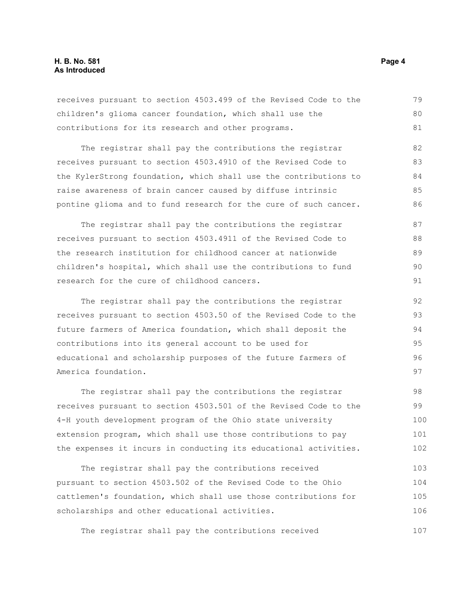## **H. B. No. 581 Page 4 As Introduced**

receives pursuant to section 4503.499 of the Revised Code to the children's glioma cancer foundation, which shall use the contributions for its research and other programs. 79 80 81

The registrar shall pay the contributions the registrar receives pursuant to section 4503.4910 of the Revised Code to the KylerStrong foundation, which shall use the contributions to raise awareness of brain cancer caused by diffuse intrinsic pontine glioma and to fund research for the cure of such cancer. 82 83 84 85 86

The registrar shall pay the contributions the registrar receives pursuant to section 4503.4911 of the Revised Code to the research institution for childhood cancer at nationwide children's hospital, which shall use the contributions to fund research for the cure of childhood cancers. 87 88 89 90 91

The registrar shall pay the contributions the registrar receives pursuant to section 4503.50 of the Revised Code to the future farmers of America foundation, which shall deposit the contributions into its general account to be used for educational and scholarship purposes of the future farmers of America foundation. 92 93 94 95 96 97

The registrar shall pay the contributions the registrar receives pursuant to section 4503.501 of the Revised Code to the 4-H youth development program of the Ohio state university extension program, which shall use those contributions to pay the expenses it incurs in conducting its educational activities. 98 99 100 101 102

The registrar shall pay the contributions received pursuant to section 4503.502 of the Revised Code to the Ohio cattlemen's foundation, which shall use those contributions for scholarships and other educational activities. 103 104 105 106

The registrar shall pay the contributions received 107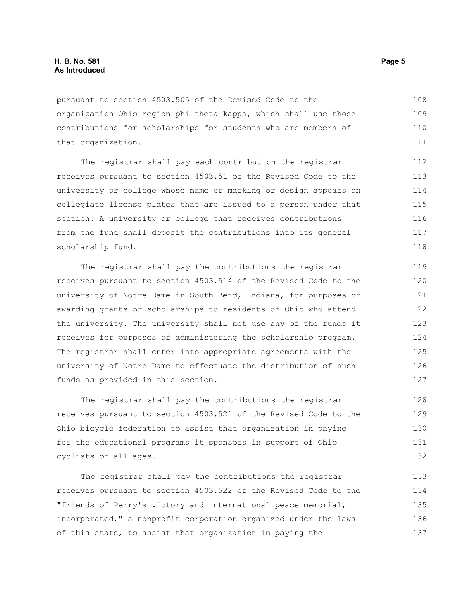## **H. B. No. 581 Page 5 As Introduced**

pursuant to section 4503.505 of the Revised Code to the organization Ohio region phi theta kappa, which shall use those contributions for scholarships for students who are members of that organization. 108 109 110 111

The registrar shall pay each contribution the registrar receives pursuant to section 4503.51 of the Revised Code to the university or college whose name or marking or design appears on collegiate license plates that are issued to a person under that section. A university or college that receives contributions from the fund shall deposit the contributions into its general scholarship fund. 112 113 114 115 116 117 118

The registrar shall pay the contributions the registrar receives pursuant to section 4503.514 of the Revised Code to the university of Notre Dame in South Bend, Indiana, for purposes of awarding grants or scholarships to residents of Ohio who attend the university. The university shall not use any of the funds it receives for purposes of administering the scholarship program. The registrar shall enter into appropriate agreements with the university of Notre Dame to effectuate the distribution of such funds as provided in this section.

The registrar shall pay the contributions the registrar receives pursuant to section 4503.521 of the Revised Code to the Ohio bicycle federation to assist that organization in paying for the educational programs it sponsors in support of Ohio cyclists of all ages. 128 129 130 131 132

The registrar shall pay the contributions the registrar receives pursuant to section 4503.522 of the Revised Code to the "friends of Perry's victory and international peace memorial, incorporated," a nonprofit corporation organized under the laws of this state, to assist that organization in paying the 133 134 135 136 137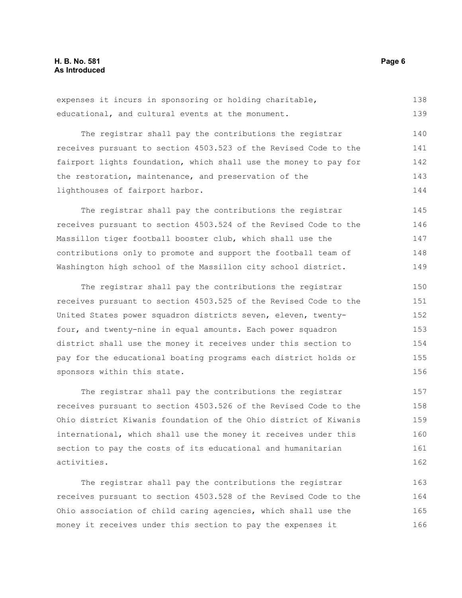expenses it incurs in sponsoring or holding charitable, educational, and cultural events at the monument. 138 139

The registrar shall pay the contributions the registrar receives pursuant to section 4503.523 of the Revised Code to the fairport lights foundation, which shall use the money to pay for the restoration, maintenance, and preservation of the lighthouses of fairport harbor. 140 141 142 143 144

The registrar shall pay the contributions the registrar receives pursuant to section 4503.524 of the Revised Code to the Massillon tiger football booster club, which shall use the contributions only to promote and support the football team of Washington high school of the Massillon city school district. 145 146 147 148 149

The registrar shall pay the contributions the registrar receives pursuant to section 4503.525 of the Revised Code to the United States power squadron districts seven, eleven, twentyfour, and twenty-nine in equal amounts. Each power squadron district shall use the money it receives under this section to pay for the educational boating programs each district holds or sponsors within this state. 150 151 152 153 154 155 156

The registrar shall pay the contributions the registrar receives pursuant to section 4503.526 of the Revised Code to the Ohio district Kiwanis foundation of the Ohio district of Kiwanis international, which shall use the money it receives under this section to pay the costs of its educational and humanitarian activities. 157 158 159 160 161 162

The registrar shall pay the contributions the registrar receives pursuant to section 4503.528 of the Revised Code to the Ohio association of child caring agencies, which shall use the money it receives under this section to pay the expenses it 163 164 165 166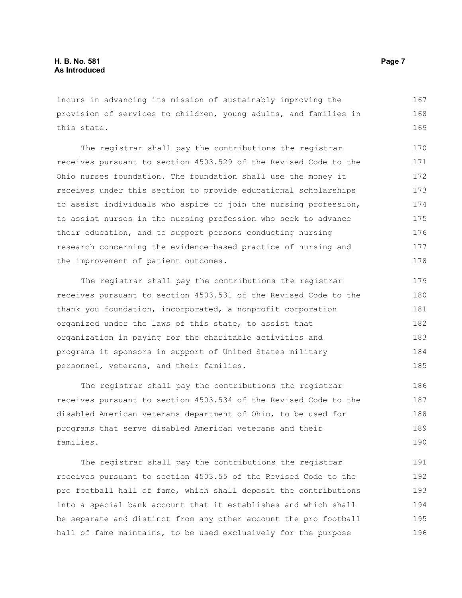incurs in advancing its mission of sustainably improving the provision of services to children, young adults, and families in this state. 167 168 169

The registrar shall pay the contributions the registrar receives pursuant to section 4503.529 of the Revised Code to the Ohio nurses foundation. The foundation shall use the money it receives under this section to provide educational scholarships to assist individuals who aspire to join the nursing profession, to assist nurses in the nursing profession who seek to advance their education, and to support persons conducting nursing research concerning the evidence-based practice of nursing and the improvement of patient outcomes. 170 171 172 173 174 175 176 177 178

The registrar shall pay the contributions the registrar receives pursuant to section 4503.531 of the Revised Code to the thank you foundation, incorporated, a nonprofit corporation organized under the laws of this state, to assist that organization in paying for the charitable activities and programs it sponsors in support of United States military personnel, veterans, and their families. 179 180 181 182 183 184 185

The registrar shall pay the contributions the registrar receives pursuant to section 4503.534 of the Revised Code to the disabled American veterans department of Ohio, to be used for programs that serve disabled American veterans and their families. 186 187 188 189 190

The registrar shall pay the contributions the registrar receives pursuant to section 4503.55 of the Revised Code to the pro football hall of fame, which shall deposit the contributions into a special bank account that it establishes and which shall be separate and distinct from any other account the pro football hall of fame maintains, to be used exclusively for the purpose 191 192 193 194 195 196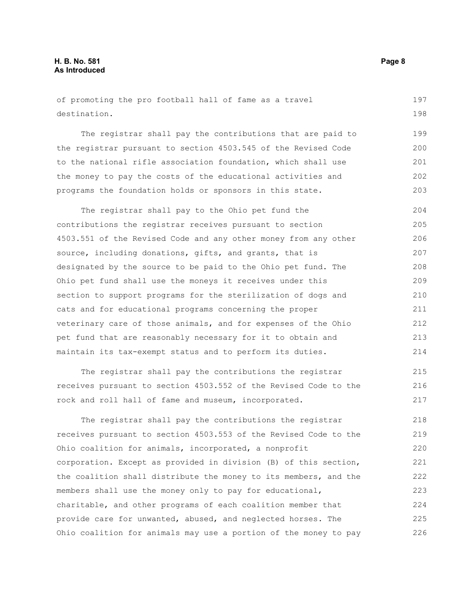of promoting the pro football hall of fame as a travel destination. 197 198

The registrar shall pay the contributions that are paid to the registrar pursuant to section 4503.545 of the Revised Code to the national rifle association foundation, which shall use the money to pay the costs of the educational activities and programs the foundation holds or sponsors in this state. 199 200 201 202 203

The registrar shall pay to the Ohio pet fund the contributions the registrar receives pursuant to section 4503.551 of the Revised Code and any other money from any other source, including donations, gifts, and grants, that is designated by the source to be paid to the Ohio pet fund. The Ohio pet fund shall use the moneys it receives under this section to support programs for the sterilization of dogs and cats and for educational programs concerning the proper veterinary care of those animals, and for expenses of the Ohio pet fund that are reasonably necessary for it to obtain and maintain its tax-exempt status and to perform its duties. 204 205 206 207 208 209 210 211 212 213 214

The registrar shall pay the contributions the registrar receives pursuant to section 4503.552 of the Revised Code to the rock and roll hall of fame and museum, incorporated. 215 216 217

The registrar shall pay the contributions the registrar receives pursuant to section 4503.553 of the Revised Code to the Ohio coalition for animals, incorporated, a nonprofit corporation. Except as provided in division (B) of this section, the coalition shall distribute the money to its members, and the members shall use the money only to pay for educational, charitable, and other programs of each coalition member that provide care for unwanted, abused, and neglected horses. The Ohio coalition for animals may use a portion of the money to pay 218 219 220 221 222 223 224 225 226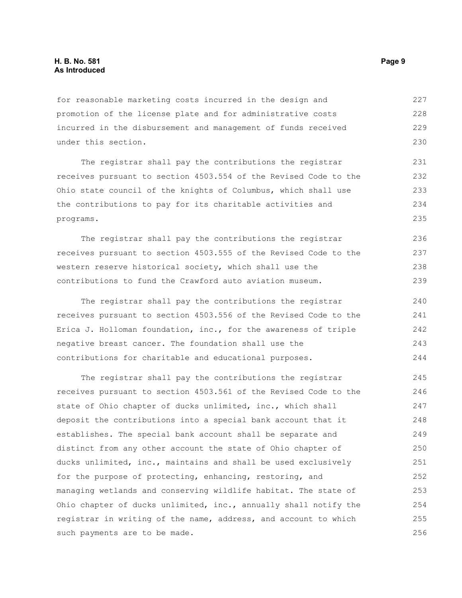## **H. B. No. 581 Page 9 As Introduced**

for reasonable marketing costs incurred in the design and promotion of the license plate and for administrative costs incurred in the disbursement and management of funds received under this section. 227 228 229 230

The registrar shall pay the contributions the registrar receives pursuant to section 4503.554 of the Revised Code to the Ohio state council of the knights of Columbus, which shall use the contributions to pay for its charitable activities and programs. 231 232 233 234 235

The registrar shall pay the contributions the registrar receives pursuant to section 4503.555 of the Revised Code to the western reserve historical society, which shall use the contributions to fund the Crawford auto aviation museum. 236 237 238 239

The registrar shall pay the contributions the registrar receives pursuant to section 4503.556 of the Revised Code to the Erica J. Holloman foundation, inc., for the awareness of triple negative breast cancer. The foundation shall use the contributions for charitable and educational purposes. 240 241 242 243 244

The registrar shall pay the contributions the registrar receives pursuant to section 4503.561 of the Revised Code to the state of Ohio chapter of ducks unlimited, inc., which shall deposit the contributions into a special bank account that it establishes. The special bank account shall be separate and distinct from any other account the state of Ohio chapter of ducks unlimited, inc., maintains and shall be used exclusively for the purpose of protecting, enhancing, restoring, and managing wetlands and conserving wildlife habitat. The state of Ohio chapter of ducks unlimited, inc., annually shall notify the registrar in writing of the name, address, and account to which such payments are to be made. 245 246 247 248 249 250 251 252 253 254 255 256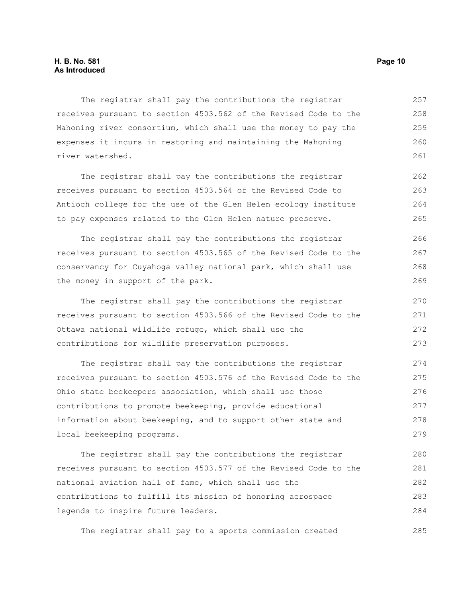The registrar shall pay the contributions the registrar receives pursuant to section 4503.562 of the Revised Code to the Mahoning river consortium, which shall use the money to pay the expenses it incurs in restoring and maintaining the Mahoning river watershed. 257 258 259 260 261

The registrar shall pay the contributions the registrar receives pursuant to section 4503.564 of the Revised Code to Antioch college for the use of the Glen Helen ecology institute to pay expenses related to the Glen Helen nature preserve. 262 263 264 265

The registrar shall pay the contributions the registrar receives pursuant to section 4503.565 of the Revised Code to the conservancy for Cuyahoga valley national park, which shall use the money in support of the park. 266 267 268 269

The registrar shall pay the contributions the registrar receives pursuant to section 4503.566 of the Revised Code to the Ottawa national wildlife refuge, which shall use the contributions for wildlife preservation purposes.

The registrar shall pay the contributions the registrar receives pursuant to section 4503.576 of the Revised Code to the Ohio state beekeepers association, which shall use those contributions to promote beekeeping, provide educational information about beekeeping, and to support other state and local beekeeping programs. 274 275 276 277 278 279

The registrar shall pay the contributions the registrar receives pursuant to section 4503.577 of the Revised Code to the national aviation hall of fame, which shall use the contributions to fulfill its mission of honoring aerospace legends to inspire future leaders. 280 281 282 283 284

The registrar shall pay to a sports commission created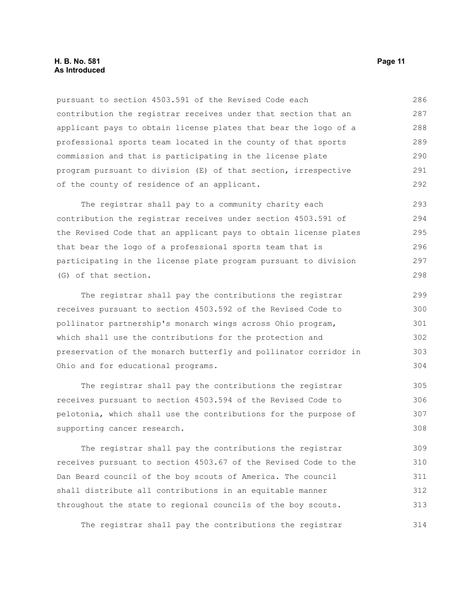## **H. B. No. 581 Page 11 As Introduced**

| pursuant to section 4503.591 of the Revised Code each           | 286 |
|-----------------------------------------------------------------|-----|
| contribution the registrar receives under that section that an  | 287 |
| applicant pays to obtain license plates that bear the logo of a | 288 |
| professional sports team located in the county of that sports   | 289 |
| commission and that is participating in the license plate       | 290 |
| program pursuant to division (E) of that section, irrespective  | 291 |
| of the county of residence of an applicant.                     | 292 |
| The registrar shall pay to a community charity each             | 293 |

contribution the registrar receives under section 4503.591 of the Revised Code that an applicant pays to obtain license plates that bear the logo of a professional sports team that is participating in the license plate program pursuant to division (G) of that section. 294 295 296 297 298

The registrar shall pay the contributions the registrar receives pursuant to section 4503.592 of the Revised Code to pollinator partnership's monarch wings across Ohio program, which shall use the contributions for the protection and preservation of the monarch butterfly and pollinator corridor in Ohio and for educational programs. 299 300 301 302 303 304

The registrar shall pay the contributions the registrar receives pursuant to section 4503.594 of the Revised Code to pelotonia, which shall use the contributions for the purpose of supporting cancer research. 305 306 307 308

The registrar shall pay the contributions the registrar receives pursuant to section 4503.67 of the Revised Code to the Dan Beard council of the boy scouts of America. The council shall distribute all contributions in an equitable manner throughout the state to regional councils of the boy scouts. 309 310 311 312 313

The registrar shall pay the contributions the registrar 314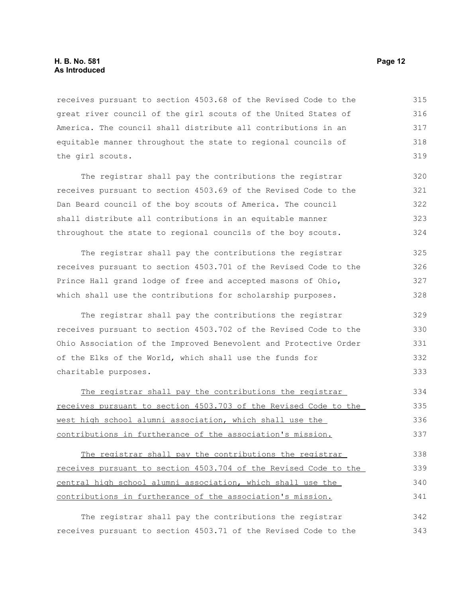## **H. B. No. 581 Page 12 As Introduced**

receives pursuant to section 4503.68 of the Revised Code to the great river council of the girl scouts of the United States of America. The council shall distribute all contributions in an equitable manner throughout the state to regional councils of the girl scouts. 315 316 317 318 319

The registrar shall pay the contributions the registrar receives pursuant to section 4503.69 of the Revised Code to the Dan Beard council of the boy scouts of America. The council shall distribute all contributions in an equitable manner throughout the state to regional councils of the boy scouts. 320 321 322 323 324

The registrar shall pay the contributions the registrar receives pursuant to section 4503.701 of the Revised Code to the Prince Hall grand lodge of free and accepted masons of Ohio, which shall use the contributions for scholarship purposes. 325 326 327 328

The registrar shall pay the contributions the registrar receives pursuant to section 4503.702 of the Revised Code to the Ohio Association of the Improved Benevolent and Protective Order of the Elks of the World, which shall use the funds for charitable purposes.

The registrar shall pay the contributions the registrar receives pursuant to section 4503.703 of the Revised Code to the west high school alumni association, which shall use the contributions in furtherance of the association's mission. 334 335 336 337

The registrar shall pay the contributions the registrar receives pursuant to section 4503.704 of the Revised Code to the central high school alumni association, which shall use the contributions in furtherance of the association's mission. 338 339 340 341

The registrar shall pay the contributions the registrar receives pursuant to section 4503.71 of the Revised Code to the 342 343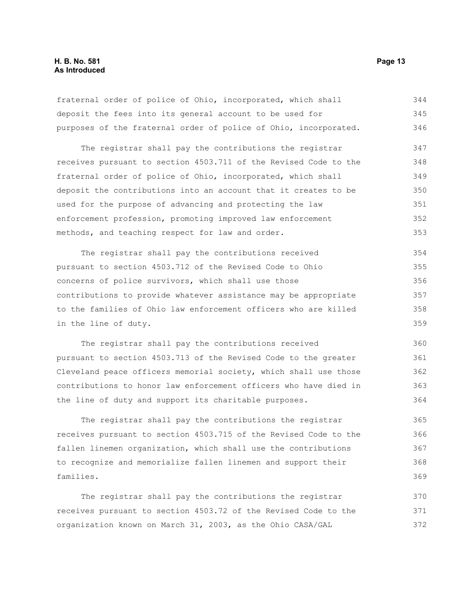fraternal order of police of Ohio, incorporated, which shall deposit the fees into its general account to be used for purposes of the fraternal order of police of Ohio, incorporated. 344 345 346

The registrar shall pay the contributions the registrar receives pursuant to section 4503.711 of the Revised Code to the fraternal order of police of Ohio, incorporated, which shall deposit the contributions into an account that it creates to be used for the purpose of advancing and protecting the law enforcement profession, promoting improved law enforcement methods, and teaching respect for law and order. 347 348 349 350 351 352 353

The registrar shall pay the contributions received pursuant to section 4503.712 of the Revised Code to Ohio concerns of police survivors, which shall use those contributions to provide whatever assistance may be appropriate to the families of Ohio law enforcement officers who are killed in the line of duty. 354 355 356 357 358 359

The registrar shall pay the contributions received pursuant to section 4503.713 of the Revised Code to the greater Cleveland peace officers memorial society, which shall use those contributions to honor law enforcement officers who have died in the line of duty and support its charitable purposes. 360 361 362 363 364

The registrar shall pay the contributions the registrar receives pursuant to section 4503.715 of the Revised Code to the fallen linemen organization, which shall use the contributions to recognize and memorialize fallen linemen and support their families. 365 366 367 368 369

The registrar shall pay the contributions the registrar receives pursuant to section 4503.72 of the Revised Code to the organization known on March 31, 2003, as the Ohio CASA/GAL 370 371 372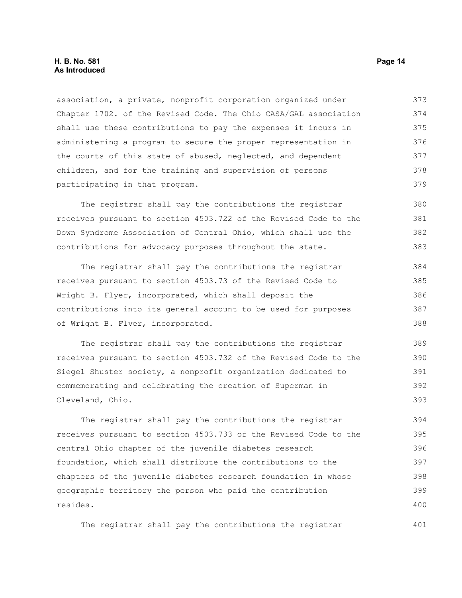association, a private, nonprofit corporation organized under Chapter 1702. of the Revised Code. The Ohio CASA/GAL association shall use these contributions to pay the expenses it incurs in administering a program to secure the proper representation in the courts of this state of abused, neglected, and dependent children, and for the training and supervision of persons participating in that program. 373 374 375 376 377 378 379

The registrar shall pay the contributions the registrar receives pursuant to section 4503.722 of the Revised Code to the Down Syndrome Association of Central Ohio, which shall use the contributions for advocacy purposes throughout the state. 380 381 382 383

The registrar shall pay the contributions the registrar receives pursuant to section 4503.73 of the Revised Code to Wright B. Flyer, incorporated, which shall deposit the contributions into its general account to be used for purposes of Wright B. Flyer, incorporated. 384 385 386 387 388

The registrar shall pay the contributions the registrar receives pursuant to section 4503.732 of the Revised Code to the Siegel Shuster society, a nonprofit organization dedicated to commemorating and celebrating the creation of Superman in Cleveland, Ohio. 389 390 391 392 393

The registrar shall pay the contributions the registrar receives pursuant to section 4503.733 of the Revised Code to the central Ohio chapter of the juvenile diabetes research foundation, which shall distribute the contributions to the chapters of the juvenile diabetes research foundation in whose geographic territory the person who paid the contribution resides. 394 395 396 397 398 399 400

The registrar shall pay the contributions the registrar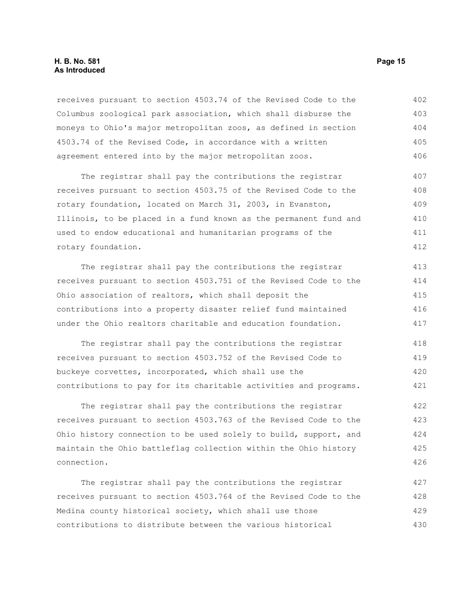## **H. B. No. 581 Page 15 As Introduced**

receives pursuant to section 4503.74 of the Revised Code to the Columbus zoological park association, which shall disburse the moneys to Ohio's major metropolitan zoos, as defined in section 4503.74 of the Revised Code, in accordance with a written agreement entered into by the major metropolitan zoos. 402 403 404 405 406

The registrar shall pay the contributions the registrar receives pursuant to section 4503.75 of the Revised Code to the rotary foundation, located on March 31, 2003, in Evanston, Illinois, to be placed in a fund known as the permanent fund and used to endow educational and humanitarian programs of the rotary foundation. 407 408 409 410 411 412

The registrar shall pay the contributions the registrar receives pursuant to section 4503.751 of the Revised Code to the Ohio association of realtors, which shall deposit the contributions into a property disaster relief fund maintained under the Ohio realtors charitable and education foundation. 413 414 415 416 417

The registrar shall pay the contributions the registrar receives pursuant to section 4503.752 of the Revised Code to buckeye corvettes, incorporated, which shall use the contributions to pay for its charitable activities and programs. 418 419 420 421

The registrar shall pay the contributions the registrar receives pursuant to section 4503.763 of the Revised Code to the Ohio history connection to be used solely to build, support, and maintain the Ohio battleflag collection within the Ohio history connection. 422 423 424 425 426

The registrar shall pay the contributions the registrar receives pursuant to section 4503.764 of the Revised Code to the Medina county historical society, which shall use those contributions to distribute between the various historical 427 428 429 430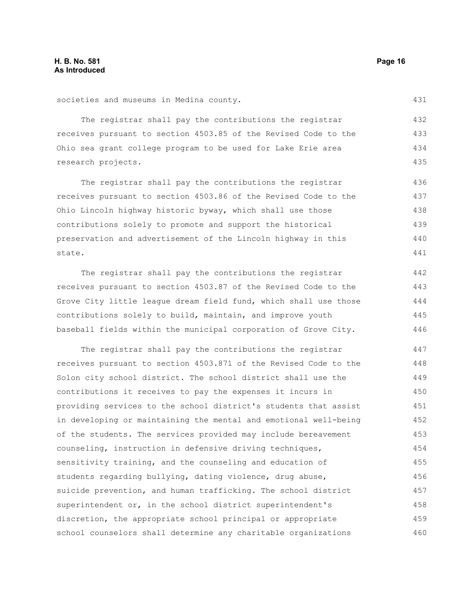431

441

societies and museums in Medina county.

The registrar shall pay the contributions the registrar receives pursuant to section 4503.85 of the Revised Code to the Ohio sea grant college program to be used for Lake Erie area research projects.

The registrar shall pay the contributions the registrar receives pursuant to section 4503.86 of the Revised Code to the Ohio Lincoln highway historic byway, which shall use those contributions solely to promote and support the historical preservation and advertisement of the Lincoln highway in this state. 436 437 438 439 440

The registrar shall pay the contributions the registrar receives pursuant to section 4503.87 of the Revised Code to the Grove City little league dream field fund, which shall use those contributions solely to build, maintain, and improve youth baseball fields within the municipal corporation of Grove City. 442 443 444 445 446

The registrar shall pay the contributions the registrar receives pursuant to section 4503.871 of the Revised Code to the Solon city school district. The school district shall use the contributions it receives to pay the expenses it incurs in providing services to the school district's students that assist in developing or maintaining the mental and emotional well-being of the students. The services provided may include bereavement counseling, instruction in defensive driving techniques, sensitivity training, and the counseling and education of students regarding bullying, dating violence, drug abuse, suicide prevention, and human trafficking. The school district superintendent or, in the school district superintendent's discretion, the appropriate school principal or appropriate school counselors shall determine any charitable organizations 447 448 449 450 451 452 453 454 455 456 457 458 459 460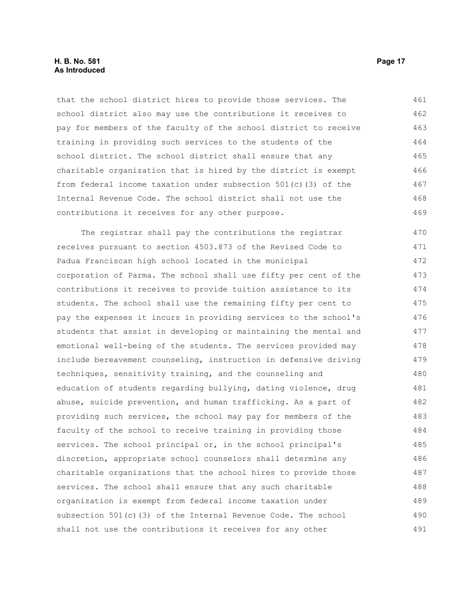that the school district hires to provide those services. The school district also may use the contributions it receives to pay for members of the faculty of the school district to receive training in providing such services to the students of the school district. The school district shall ensure that any charitable organization that is hired by the district is exempt from federal income taxation under subsection 501(c)(3) of the Internal Revenue Code. The school district shall not use the contributions it receives for any other purpose. 461 462 463 464 465 466 467 468 469

The registrar shall pay the contributions the registrar receives pursuant to section 4503.873 of the Revised Code to Padua Franciscan high school located in the municipal corporation of Parma. The school shall use fifty per cent of the contributions it receives to provide tuition assistance to its students. The school shall use the remaining fifty per cent to pay the expenses it incurs in providing services to the school's students that assist in developing or maintaining the mental and emotional well-being of the students. The services provided may include bereavement counseling, instruction in defensive driving techniques, sensitivity training, and the counseling and education of students regarding bullying, dating violence, drug abuse, suicide prevention, and human trafficking. As a part of providing such services, the school may pay for members of the faculty of the school to receive training in providing those services. The school principal or, in the school principal's discretion, appropriate school counselors shall determine any charitable organizations that the school hires to provide those services. The school shall ensure that any such charitable organization is exempt from federal income taxation under subsection 501(c)(3) of the Internal Revenue Code. The school shall not use the contributions it receives for any other 470 471 472 473 474 475 476 477 478 479 480 481 482 483 484 485 486 487 488 489 490 491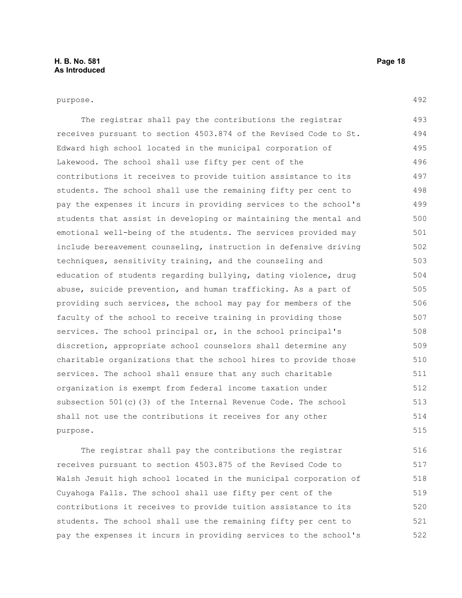## purpose.

492

| The registrar shall pay the contributions the registrar          | 493 |
|------------------------------------------------------------------|-----|
| receives pursuant to section 4503.874 of the Revised Code to St. | 494 |
| Edward high school located in the municipal corporation of       | 495 |
| Lakewood. The school shall use fifty per cent of the             | 496 |
| contributions it receives to provide tuition assistance to its   | 497 |
| students. The school shall use the remaining fifty per cent to   | 498 |
| pay the expenses it incurs in providing services to the school's | 499 |
| students that assist in developing or maintaining the mental and | 500 |
| emotional well-being of the students. The services provided may  | 501 |
| include bereavement counseling, instruction in defensive driving | 502 |
| techniques, sensitivity training, and the counseling and         | 503 |
| education of students regarding bullying, dating violence, drug  | 504 |
| abuse, suicide prevention, and human trafficking. As a part of   | 505 |
| providing such services, the school may pay for members of the   | 506 |
| faculty of the school to receive training in providing those     | 507 |
| services. The school principal or, in the school principal's     | 508 |
| discretion, appropriate school counselors shall determine any    | 509 |
| charitable organizations that the school hires to provide those  | 510 |
| services. The school shall ensure that any such charitable       | 511 |
| organization is exempt from federal income taxation under        | 512 |
| subsection $501(c)$ (3) of the Internal Revenue Code. The school | 513 |
| shall not use the contributions it receives for any other        | 514 |
| purpose.                                                         | 515 |

The registrar shall pay the contributions the registrar receives pursuant to section 4503.875 of the Revised Code to Walsh Jesuit high school located in the municipal corporation of Cuyahoga Falls. The school shall use fifty per cent of the contributions it receives to provide tuition assistance to its students. The school shall use the remaining fifty per cent to pay the expenses it incurs in providing services to the school's 516 517 518 519 520 521 522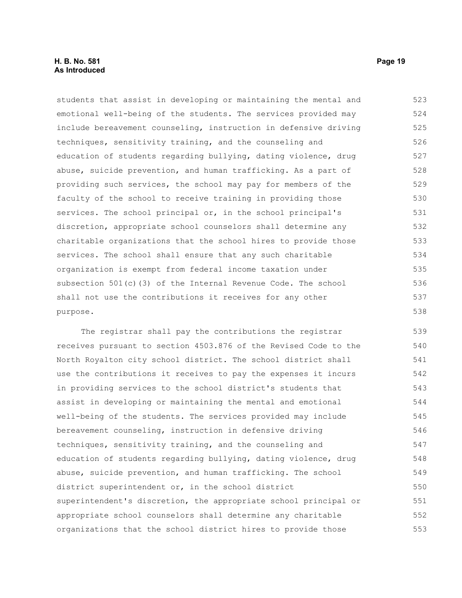students that assist in developing or maintaining the mental and emotional well-being of the students. The services provided may include bereavement counseling, instruction in defensive driving techniques, sensitivity training, and the counseling and education of students regarding bullying, dating violence, drug abuse, suicide prevention, and human trafficking. As a part of providing such services, the school may pay for members of the faculty of the school to receive training in providing those services. The school principal or, in the school principal's discretion, appropriate school counselors shall determine any charitable organizations that the school hires to provide those services. The school shall ensure that any such charitable organization is exempt from federal income taxation under subsection 501(c)(3) of the Internal Revenue Code. The school shall not use the contributions it receives for any other purpose. 523 524 525 526 527 528 529 530 531 532 533 534 535 536 537 538

The registrar shall pay the contributions the registrar receives pursuant to section 4503.876 of the Revised Code to the North Royalton city school district. The school district shall use the contributions it receives to pay the expenses it incurs in providing services to the school district's students that assist in developing or maintaining the mental and emotional well-being of the students. The services provided may include bereavement counseling, instruction in defensive driving techniques, sensitivity training, and the counseling and education of students regarding bullying, dating violence, drug abuse, suicide prevention, and human trafficking. The school district superintendent or, in the school district superintendent's discretion, the appropriate school principal or appropriate school counselors shall determine any charitable organizations that the school district hires to provide those 539 540 541 542 543 544 545 546 547 548 549 550 551 552 553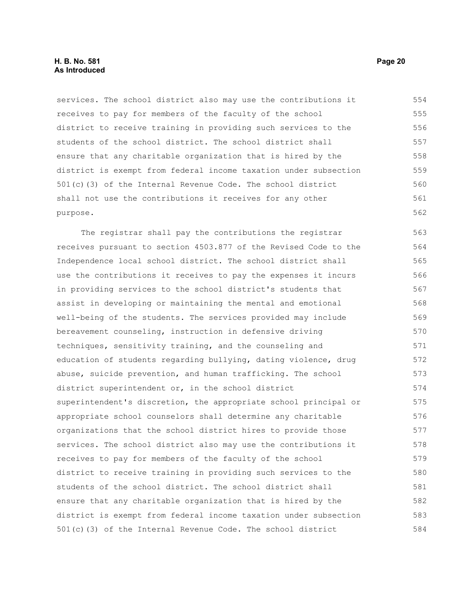services. The school district also may use the contributions it receives to pay for members of the faculty of the school district to receive training in providing such services to the students of the school district. The school district shall ensure that any charitable organization that is hired by the district is exempt from federal income taxation under subsection 501(c)(3) of the Internal Revenue Code. The school district shall not use the contributions it receives for any other purpose. 554 555 556 557 558 559 560 561 562

The registrar shall pay the contributions the registrar receives pursuant to section 4503.877 of the Revised Code to the Independence local school district. The school district shall use the contributions it receives to pay the expenses it incurs in providing services to the school district's students that assist in developing or maintaining the mental and emotional well-being of the students. The services provided may include bereavement counseling, instruction in defensive driving techniques, sensitivity training, and the counseling and education of students regarding bullying, dating violence, drug abuse, suicide prevention, and human trafficking. The school district superintendent or, in the school district superintendent's discretion, the appropriate school principal or appropriate school counselors shall determine any charitable organizations that the school district hires to provide those services. The school district also may use the contributions it receives to pay for members of the faculty of the school district to receive training in providing such services to the students of the school district. The school district shall ensure that any charitable organization that is hired by the district is exempt from federal income taxation under subsection 501(c)(3) of the Internal Revenue Code. The school district 563 564 565 566 567 568 569 570 571 572 573 574 575 576 577 578 579 580 581 582 583 584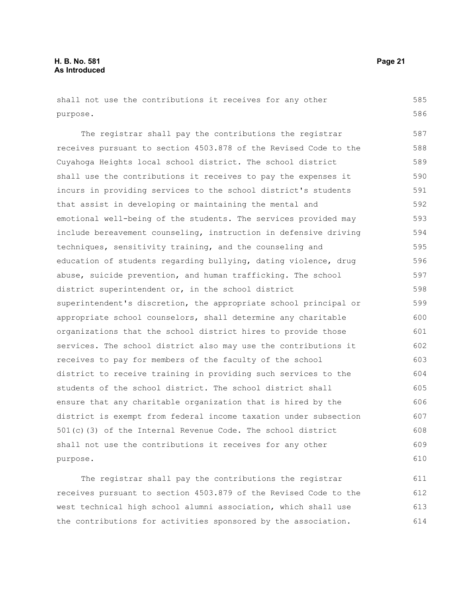shall not use the contributions it receives for any other purpose.

The registrar shall pay the contributions the registrar receives pursuant to section 4503.878 of the Revised Code to the Cuyahoga Heights local school district. The school district shall use the contributions it receives to pay the expenses it incurs in providing services to the school district's students that assist in developing or maintaining the mental and emotional well-being of the students. The services provided may include bereavement counseling, instruction in defensive driving techniques, sensitivity training, and the counseling and education of students regarding bullying, dating violence, drug abuse, suicide prevention, and human trafficking. The school district superintendent or, in the school district superintendent's discretion, the appropriate school principal or appropriate school counselors, shall determine any charitable organizations that the school district hires to provide those services. The school district also may use the contributions it receives to pay for members of the faculty of the school district to receive training in providing such services to the students of the school district. The school district shall ensure that any charitable organization that is hired by the district is exempt from federal income taxation under subsection 501(c)(3) of the Internal Revenue Code. The school district shall not use the contributions it receives for any other purpose. 587 588 589 590 591 592 593 594 595 596 597 598 599 600 601 602 603 604 605 606 607 608 609 610

The registrar shall pay the contributions the registrar receives pursuant to section 4503.879 of the Revised Code to the west technical high school alumni association, which shall use the contributions for activities sponsored by the association. 611 612 613 614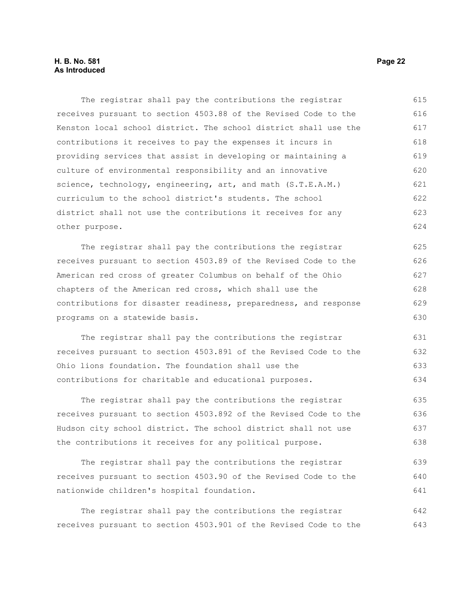## **H. B. No. 581 Page 22 As Introduced**

The registrar shall pay the contributions the registrar receives pursuant to section 4503.88 of the Revised Code to the Kenston local school district. The school district shall use the contributions it receives to pay the expenses it incurs in providing services that assist in developing or maintaining a culture of environmental responsibility and an innovative science, technology, engineering, art, and math (S.T.E.A.M.) curriculum to the school district's students. The school district shall not use the contributions it receives for any other purpose. 615 616 617 618 619 620 621 622 623 624

The registrar shall pay the contributions the registrar receives pursuant to section 4503.89 of the Revised Code to the American red cross of greater Columbus on behalf of the Ohio chapters of the American red cross, which shall use the contributions for disaster readiness, preparedness, and response programs on a statewide basis. 625 626 627 628 629 630

The registrar shall pay the contributions the registrar receives pursuant to section 4503.891 of the Revised Code to the Ohio lions foundation. The foundation shall use the contributions for charitable and educational purposes. 631 632 633 634

The registrar shall pay the contributions the registrar receives pursuant to section 4503.892 of the Revised Code to the Hudson city school district. The school district shall not use the contributions it receives for any political purpose. 635 636 637 638

The registrar shall pay the contributions the registrar receives pursuant to section 4503.90 of the Revised Code to the nationwide children's hospital foundation. 639 640 641

The registrar shall pay the contributions the registrar receives pursuant to section 4503.901 of the Revised Code to the 642 643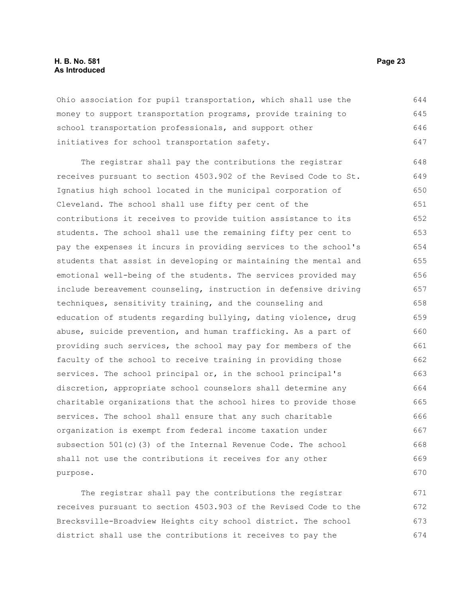## **H. B. No. 581 Page 23 As Introduced**

Ohio association for pupil transportation, which shall use the money to support transportation programs, provide training to school transportation professionals, and support other initiatives for school transportation safety. 644 645 646 647

The registrar shall pay the contributions the registrar receives pursuant to section 4503.902 of the Revised Code to St. Ignatius high school located in the municipal corporation of Cleveland. The school shall use fifty per cent of the contributions it receives to provide tuition assistance to its students. The school shall use the remaining fifty per cent to pay the expenses it incurs in providing services to the school's students that assist in developing or maintaining the mental and emotional well-being of the students. The services provided may include bereavement counseling, instruction in defensive driving techniques, sensitivity training, and the counseling and education of students regarding bullying, dating violence, drug abuse, suicide prevention, and human trafficking. As a part of providing such services, the school may pay for members of the faculty of the school to receive training in providing those services. The school principal or, in the school principal's discretion, appropriate school counselors shall determine any charitable organizations that the school hires to provide those services. The school shall ensure that any such charitable organization is exempt from federal income taxation under subsection 501(c)(3) of the Internal Revenue Code. The school shall not use the contributions it receives for any other purpose. 648 649 650 651 652 653 654 655 656 657 658 659 660 661 662 663 664 665 666 667 668 669 670

The registrar shall pay the contributions the registrar receives pursuant to section 4503.903 of the Revised Code to the Brecksville-Broadview Heights city school district. The school district shall use the contributions it receives to pay the 671 672 673 674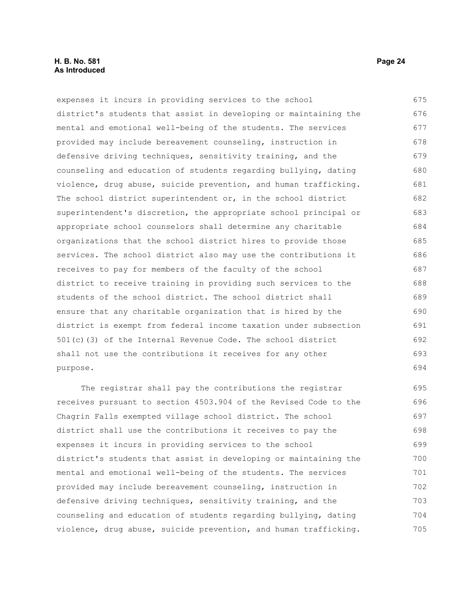## **H. B. No. 581 Page 24 As Introduced**

expenses it incurs in providing services to the school district's students that assist in developing or maintaining the mental and emotional well-being of the students. The services provided may include bereavement counseling, instruction in defensive driving techniques, sensitivity training, and the counseling and education of students regarding bullying, dating violence, drug abuse, suicide prevention, and human trafficking. The school district superintendent or, in the school district superintendent's discretion, the appropriate school principal or appropriate school counselors shall determine any charitable organizations that the school district hires to provide those services. The school district also may use the contributions it receives to pay for members of the faculty of the school district to receive training in providing such services to the students of the school district. The school district shall ensure that any charitable organization that is hired by the district is exempt from federal income taxation under subsection 501(c)(3) of the Internal Revenue Code. The school district shall not use the contributions it receives for any other purpose. 675 676 677 678 679 680 681 682 683 684 685 686 687 688 689 690 691 692 693 694

The registrar shall pay the contributions the registrar receives pursuant to section 4503.904 of the Revised Code to the Chagrin Falls exempted village school district. The school district shall use the contributions it receives to pay the expenses it incurs in providing services to the school district's students that assist in developing or maintaining the mental and emotional well-being of the students. The services provided may include bereavement counseling, instruction in defensive driving techniques, sensitivity training, and the counseling and education of students regarding bullying, dating violence, drug abuse, suicide prevention, and human trafficking. 695 696 697 698 699 700 701 702 703 704 705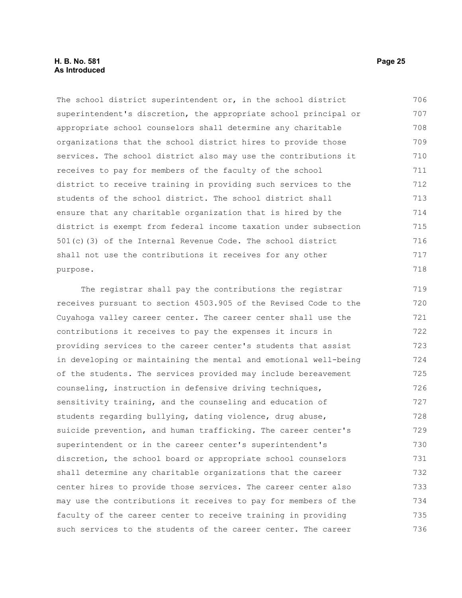## **H. B. No. 581 Page 25 As Introduced**

The school district superintendent or, in the school district superintendent's discretion, the appropriate school principal or appropriate school counselors shall determine any charitable organizations that the school district hires to provide those services. The school district also may use the contributions it receives to pay for members of the faculty of the school district to receive training in providing such services to the students of the school district. The school district shall ensure that any charitable organization that is hired by the district is exempt from federal income taxation under subsection 501(c)(3) of the Internal Revenue Code. The school district shall not use the contributions it receives for any other purpose. 706 707 708 709 710 711 712 713 714 715 716 717 718

The registrar shall pay the contributions the registrar receives pursuant to section 4503.905 of the Revised Code to the Cuyahoga valley career center. The career center shall use the contributions it receives to pay the expenses it incurs in providing services to the career center's students that assist in developing or maintaining the mental and emotional well-being of the students. The services provided may include bereavement counseling, instruction in defensive driving techniques, sensitivity training, and the counseling and education of students regarding bullying, dating violence, drug abuse, suicide prevention, and human trafficking. The career center's superintendent or in the career center's superintendent's discretion, the school board or appropriate school counselors shall determine any charitable organizations that the career center hires to provide those services. The career center also may use the contributions it receives to pay for members of the faculty of the career center to receive training in providing such services to the students of the career center. The career 719 720 721 722 723 724 725 726 727 728 729 730 731 732 733 734 735 736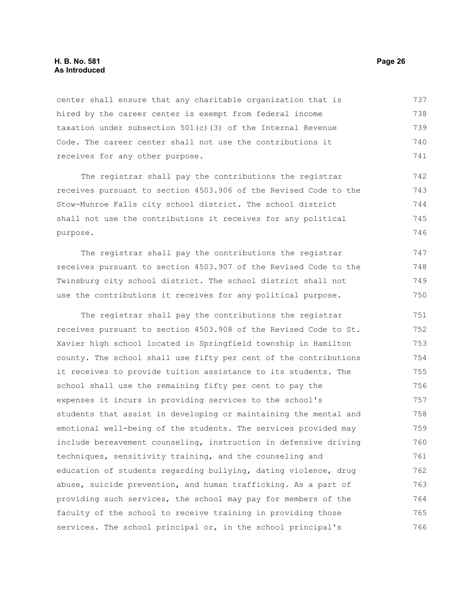## **H. B. No. 581 Page 26 As Introduced**

center shall ensure that any charitable organization that is hired by the career center is exempt from federal income taxation under subsection 501(c)(3) of the Internal Revenue Code. The career center shall not use the contributions it receives for any other purpose. 737 738 739 740 741

The registrar shall pay the contributions the registrar receives pursuant to section 4503.906 of the Revised Code to the Stow-Munroe Falls city school district. The school district shall not use the contributions it receives for any political purpose. 742 743 744 745 746

The registrar shall pay the contributions the registrar receives pursuant to section 4503.907 of the Revised Code to the Twinsburg city school district. The school district shall not use the contributions it receives for any political purpose. 747 748 749 750

The registrar shall pay the contributions the registrar receives pursuant to section 4503.908 of the Revised Code to St. Xavier high school located in Springfield township in Hamilton county. The school shall use fifty per cent of the contributions it receives to provide tuition assistance to its students. The school shall use the remaining fifty per cent to pay the expenses it incurs in providing services to the school's students that assist in developing or maintaining the mental and emotional well-being of the students. The services provided may include bereavement counseling, instruction in defensive driving techniques, sensitivity training, and the counseling and education of students regarding bullying, dating violence, drug abuse, suicide prevention, and human trafficking. As a part of providing such services, the school may pay for members of the faculty of the school to receive training in providing those services. The school principal or, in the school principal's 751 752 753 754 755 756 757 758 759 760 761 762 763 764 765 766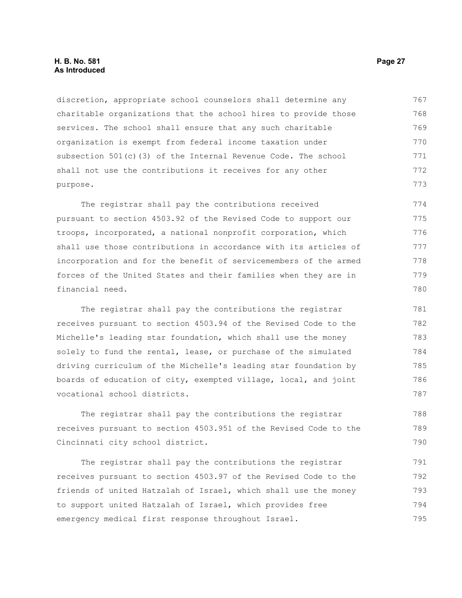## **H. B. No. 581 Page 27 As Introduced**

discretion, appropriate school counselors shall determine any charitable organizations that the school hires to provide those services. The school shall ensure that any such charitable organization is exempt from federal income taxation under subsection 501(c)(3) of the Internal Revenue Code. The school shall not use the contributions it receives for any other purpose. 767 768 769 770 771 772 773

The registrar shall pay the contributions received pursuant to section 4503.92 of the Revised Code to support our troops, incorporated, a national nonprofit corporation, which shall use those contributions in accordance with its articles of incorporation and for the benefit of servicemembers of the armed forces of the United States and their families when they are in financial need. 774 775 776 777 778 779 780

The registrar shall pay the contributions the registrar receives pursuant to section 4503.94 of the Revised Code to the Michelle's leading star foundation, which shall use the money solely to fund the rental, lease, or purchase of the simulated driving curriculum of the Michelle's leading star foundation by boards of education of city, exempted village, local, and joint vocational school districts. 781 782 783 784 785 786 787

The registrar shall pay the contributions the registrar receives pursuant to section 4503.951 of the Revised Code to the Cincinnati city school district.

The registrar shall pay the contributions the registrar receives pursuant to section 4503.97 of the Revised Code to the friends of united Hatzalah of Israel, which shall use the money to support united Hatzalah of Israel, which provides free emergency medical first response throughout Israel. 791 792 793 794 795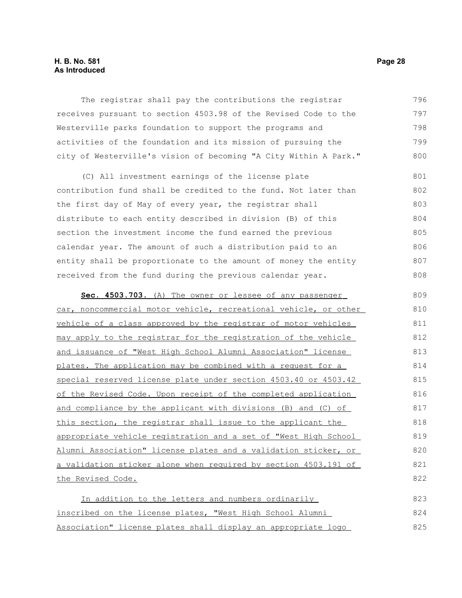## **H. B. No. 581 Page 28 As Introduced**

The registrar shall pay the contributions the registrar receives pursuant to section 4503.98 of the Revised Code to the Westerville parks foundation to support the programs and activities of the foundation and its mission of pursuing the city of Westerville's vision of becoming "A City Within A Park." 796 797 798 799 800

(C) All investment earnings of the license plate contribution fund shall be credited to the fund. Not later than the first day of May of every year, the registrar shall distribute to each entity described in division (B) of this section the investment income the fund earned the previous calendar year. The amount of such a distribution paid to an entity shall be proportionate to the amount of money the entity received from the fund during the previous calendar year. 801 802 803 804 805 806 807 808

 **Sec. 4503.703.** (A) The owner or lessee of any passenger car, noncommercial motor vehicle, recreational vehicle, or other vehicle of a class approved by the registrar of motor vehicles may apply to the registrar for the registration of the vehicle and issuance of "West High School Alumni Association" license plates. The application may be combined with a request for a special reserved license plate under section 4503.40 or 4503.42 of the Revised Code. Upon receipt of the completed application and compliance by the applicant with divisions (B) and (C) of this section, the registrar shall issue to the applicant the appropriate vehicle registration and a set of "West High School Alumni Association" license plates and a validation sticker, or a validation sticker alone when required by section 4503.191 of the Revised Code. 809 810 811 812 813 814 815 816 817 818 819 820 821 822

In addition to the letters and numbers ordinarily inscribed on the license plates, "West High School Alumni Association" license plates shall display an appropriate logo 823 824 825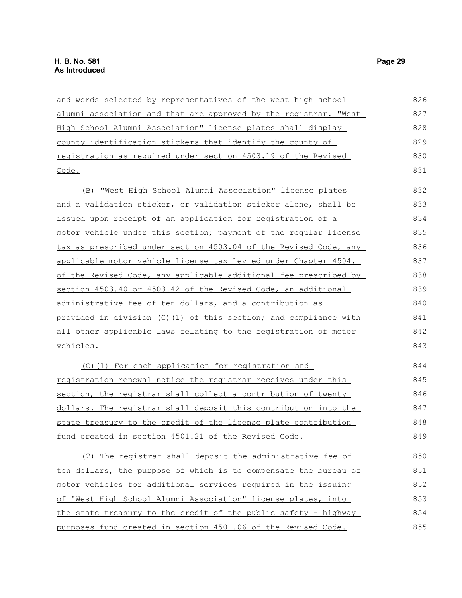| and words selected by representatives of the west high school    | 826 |
|------------------------------------------------------------------|-----|
| alumni association and that are approved by the registrar. "West | 827 |
| High School Alumni Association" license plates shall display     | 828 |
| county identification stickers that identify the county of       | 829 |
| registration as required under section 4503.19 of the Revised    | 830 |
| Code.                                                            | 831 |
| (B) "West High School Alumni Association" license plates         | 832 |
| and a validation sticker, or validation sticker alone, shall be  | 833 |
| issued upon receipt of an application for registration of a      | 834 |
| motor vehicle under this section; payment of the reqular license | 835 |
| tax as prescribed under section 4503.04 of the Revised Code, any | 836 |
| applicable motor vehicle license tax levied under Chapter 4504.  | 837 |
| of the Revised Code, any applicable additional fee prescribed by | 838 |
| section 4503.40 or 4503.42 of the Revised Code, an additional    | 839 |
| administrative fee of ten dollars, and a contribution as         | 840 |
| provided in division (C)(1) of this section; and compliance with | 841 |
| all other applicable laws relating to the registration of motor  | 842 |
| vehicles.                                                        | 843 |
| (C)(1) For each application for registration and                 | 844 |
| registration renewal notice the registrar receives under this    | 845 |
| section, the registrar shall collect a contribution of twenty    | 846 |
| dollars. The registrar shall deposit this contribution into the  | 847 |
| state treasury to the credit of the license plate contribution   | 848 |
| fund created in section 4501.21 of the Revised Code.             | 849 |
| (2) The registrar shall deposit the administrative fee of        | 850 |
| ten dollars, the purpose of which is to compensate the bureau of | 851 |
| motor vehicles for additional services required in the issuing   | 852 |
| of "West High School Alumni Association" license plates, into    | 853 |
| the state treasury to the credit of the public safety - highway  | 854 |
| purposes fund created in section 4501.06 of the Revised Code.    | 855 |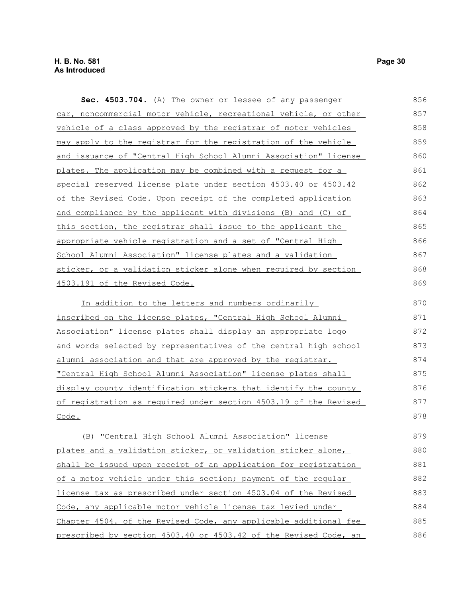| Sec. 4503.704. (A) The owner or lessee of any passenger          | 856 |
|------------------------------------------------------------------|-----|
| car, noncommercial motor vehicle, recreational vehicle, or other | 857 |
| vehicle of a class approved by the registrar of motor vehicles   | 858 |
| may apply to the registrar for the registration of the vehicle   | 859 |
| and issuance of "Central High School Alumni Association" license | 860 |
| plates. The application may be combined with a request for a     | 861 |
| special reserved license plate under section 4503.40 or 4503.42  | 862 |
| of the Revised Code. Upon receipt of the completed application   | 863 |
| and compliance by the applicant with divisions (B) and (C) of    | 864 |
| this section, the registrar shall issue to the applicant the     | 865 |
| appropriate vehicle registration and a set of "Central High      | 866 |
| School Alumni Association" license plates and a validation       | 867 |
| sticker, or a validation sticker alone when required by section  | 868 |
| 4503.191 of the Revised Code.                                    | 869 |
| In addition to the letters and numbers ordinarily                | 870 |
| inscribed on the license plates, "Central High School Alumni     | 871 |
| Association" license plates shall display an appropriate logo    | 872 |
| and words selected by representatives of the central high school | 873 |
| alumni association and that are approved by the registrar.       | 874 |
| "Central High School Alumni Association" license plates shall    | 875 |
| display county identification stickers that identify the county  | 876 |
| of registration as required under section 4503.19 of the Revised | 877 |
| Code.                                                            | 878 |
| (B) "Central High School Alumni Association" license             | 879 |
| plates and a validation sticker, or validation sticker alone,    | 880 |
| shall be issued upon receipt of an application for registration  | 881 |
| of a motor vehicle under this section; payment of the reqular    | 882 |
| license tax as prescribed under section 4503.04 of the Revised   | 883 |
| Code, any applicable motor vehicle license tax levied under      | 884 |
| Chapter 4504. of the Revised Code, any applicable additional fee | 885 |

prescribed by section 4503.40 or 4503.42 of the Revised Code, an